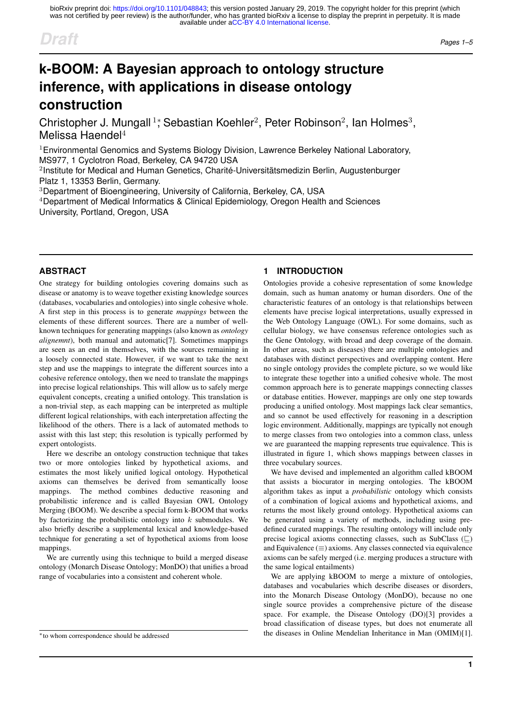# *Draft Pages 1–5*

# **k-BOOM: A Bayesian approach to ontology structure inference, with applications in disease ontology construction**

Christopher J. Mungall<sup>1</sup>; Sebastian Koehler<sup>2</sup>, Peter Robinson<sup>2</sup>, Ian Holmes<sup>3</sup>, Melissa Haendel<sup>4</sup>

 $1$ Environmental Genomics and Systems Biology Division, Lawrence Berkeley National Laboratory, MS977, 1 Cyclotron Road, Berkeley, CA 94720 USA

 $2$ Institute for Medical and Human Genetics, Charité-Universitätsmedizin Berlin, Augustenburger Platz 1, 13353 Berlin, Germany.

<sup>3</sup>Department of Bioengineering, University of California, Berkeley, CA, USA

<sup>4</sup>Department of Medical Informatics & Clinical Epidemiology, Oregon Health and Sciences University, Portland, Oregon, USA

# **ABSTRACT**

One strategy for building ontologies covering domains such as disease or anatomy is to weave together existing knowledge sources (databases, vocabularies and ontologies) into single cohesive whole. A first step in this process is to generate *mappings* between the elements of these different sources. There are a number of wellknown techniques for generating mappings (also known as *ontology alignemnt*), both manual and automatic[7]. Sometimes mappings are seen as an end in themselves, with the sources remaining in a loosely connected state. However, if we want to take the next step and use the mappings to integrate the different sources into a cohesive reference ontology, then we need to translate the mappings into precise logical relationships. This will allow us to safely merge equivalent concepts, creating a unified ontology. This translation is a non-trivial step, as each mapping can be interpreted as multiple different logical relationships, with each interpretation affecting the likelihood of the others. There is a lack of automated methods to assist with this last step; this resolution is typically performed by expert ontologists.

Here we describe an ontology construction technique that takes two or more ontologies linked by hypothetical axioms, and estimates the most likely unified logical ontology. Hypothetical axioms can themselves be derived from semantically loose mappings. The method combines deductive reasoning and probabilistic inference and is called Bayesian OWL Ontology Merging (BOOM). We describe a special form k-BOOM that works by factorizing the probabilistic ontology into  $k$  submodules. We also briefly describe a supplemental lexical and knowledge-based technique for generating a set of hypothetical axioms from loose mappings.

We are currently using this technique to build a merged disease ontology (Monarch Disease Ontology; MonDO) that unifies a broad range of vocabularies into a consistent and coherent whole.

<sup>∗</sup>to whom correspondence should be addressed

# **1 INTRODUCTION**

Ontologies provide a cohesive representation of some knowledge domain, such as human anatomy or human disorders. One of the characteristic features of an ontology is that relationships between elements have precise logical interpretations, usually expressed in the Web Ontology Language (OWL). For some domains, such as cellular biology, we have consensus reference ontologies such as the Gene Ontology, with broad and deep coverage of the domain. In other areas, such as diseases) there are multiple ontologies and databases with distinct perspectives and overlapping content. Here no single ontology provides the complete picture, so we would like to integrate these together into a unified cohesive whole. The most common approach here is to generate mappings connecting classes or database entities. However, mappings are only one step towards producing a unified ontology. Most mappings lack clear semantics, and so cannot be used effectively for reasoning in a description logic environment. Additionally, mappings are typically not enough to merge classes from two ontologies into a common class, unless we are guaranteed the mapping represents true equivalence. This is illustrated in figure 1, which shows mappings between classes in three vocabulary sources.

We have devised and implemented an algorithm called kBOOM that assists a biocurator in merging ontologies. The kBOOM algorithm takes as input a *probabilistic* ontology which consists of a combination of logical axioms and hypothetical axioms, and returns the most likely ground ontology. Hypothetical axioms can be generated using a variety of methods, including using predefined curated mappings. The resulting ontology will include only precise logical axioms connecting classes, such as SubClass  $(\sqsubseteq)$ and Equivalence  $(\equiv)$  axioms. Any classes connected via equivalence axioms can be safely merged (i.e. merging produces a structure with the same logical entailments)

We are applying kBOOM to merge a mixture of ontologies, databases and vocabularies which describe diseases or disorders, into the Monarch Disease Ontology (MonDO), because no one single source provides a comprehensive picture of the disease space. For example, the Disease Ontology (DO)[3] provides a broad classification of disease types, but does not enumerate all the diseases in Online Mendelian Inheritance in Man (OMIM)[1].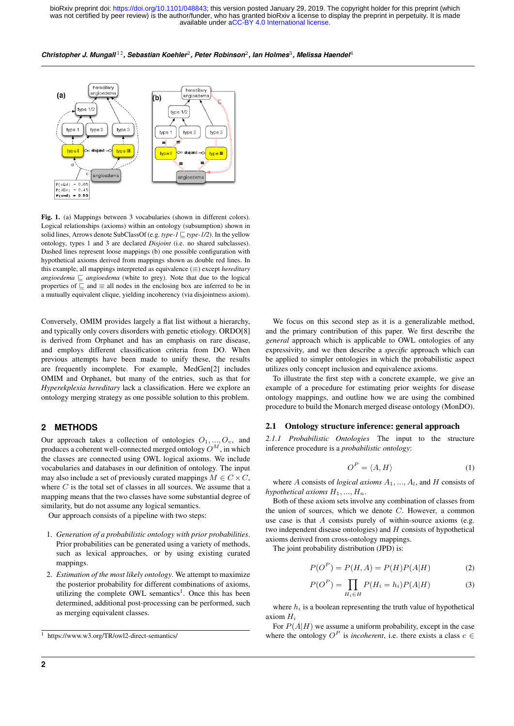available under [aCC-BY 4.0 International license.](http://creativecommons.org/licenses/by/4.0/) was not certified by peer review) is the author/funder, who has granted bioRxiv a license to display the preprint in perpetuity. It is made bioRxiv preprint doi: [https://doi.org/10.1101/048843;](https://doi.org/10.1101/048843) this version posted January 29, 2019. The copyright holder for this preprint (which

#### $\bm{C}$ hristopher J. Mungall<sup>12</sup>, Sebastian Koehler<sup>2</sup>, Peter Robinson<sup>2</sup>, Ian Holmes<sup>3</sup>, Melissa Haendel<sup>4</sup>



Fig. 1. (a) Mappings between 3 vocabularies (shown in different colors). Logical relationships (axioms) within an ontology (subsumption) shown in solid lines, Arrows denote SubClassOf (e.g. *type-1*  $\Box$  *type-1/2*). In the yellow ontology, types 1 and 3 are declared *Disjoint* (i.e. no shared subclasses). Dashed lines represent loose mappings (b) one possible configuration with hypothetical axioms derived from mappings shown as double red lines. In this example, all mappings interpreted as equivalence (≡) except *hereditary* angioedema  $\sqsubseteq$  angioedema (white to grey). Note that due to the logical properties of  $\sqsubseteq$  and  $\equiv$  all nodes in the enclosing box are inferred to be in a mutually equivalent clique, yielding incoherency (via disjointness axiom).

Conversely, OMIM provides largely a flat list without a hierarchy, and typically only covers disorders with genetic etiology. ORDO[8] is derived from Orphanet and has an emphasis on rare disease, and employs different classification criteria from DO. When previous attempts have been made to unify these, the results are frequently incomplete. For example, MedGen[2] includes OMIM and Orphanet, but many of the entries, such as that for *Hyperekplexia hereditary* lack a classification. Here we explore an ontology merging strategy as one possible solution to this problem.

#### **2 METHODS**

Our approach takes a collection of ontologies  $O_1, ..., O_v$ , and produces a coherent well-connected merged ontology  $O^M$ , in which the classes are connected using OWL logical axioms. We include vocabularies and databases in our definition of ontology. The input may also include a set of previously curated mappings  $M \in C \times C$ , where  $C$  is the total set of classes in all sources. We assume that a mapping means that the two classes have some substantial degree of similarity, but do not assume any logical semantics.

Our approach consists of a pipeline with two steps:

- 1. *Generation of a probabilistic ontology with prior probabilities*. Prior probabilities can be generated using a variety of methods, such as lexical approaches, or by using existing curated mappings.
- 2. *Estimation of the most likely ontology*. We attempt to maximize the posterior probability for different combinations of axioms, utilizing the complete OWL semantics<sup>1</sup>. Once this has been determined, additional post-processing can be performed, such as merging equivalent classes.

We focus on this second step as it is a generalizable method, and the primary contribution of this paper. We first describe the *general* approach which is applicable to OWL ontologies of any expressivity, and we then describe a *specific* approach which can be applied to simpler ontologies in which the probabilistic aspect utilizes only concept inclusion and equivalence axioms.

To illustrate the first step with a concrete example, we give an example of a procedure for estimating prior weights for disease ontology mappings, and outline how we are using the combined procedure to build the Monarch merged disease ontology (MonDO).

#### 2.1 Ontology structure inference: general approach

*2.1.1 Probabilistic Ontologies* The input to the structure inference procedure is a *probabilistic ontology*:

$$
O^P = \langle A, H \rangle \tag{1}
$$

where A consists of *logical axioms*  $A_1, \ldots, A_l$ , and H consists of *hypothetical axioms*  $H_1, ..., H_n$ .

Both of these axiom sets involve any combination of classes from the union of sources, which we denote  $C$ . However, a common use case is that  $A$  consists purely of within-source axioms (e.g. two independent disease ontologies) and  $H$  consists of hypothetical axioms derived from cross-ontology mappings.

The joint probability distribution (JPD) is:

$$
P(OP) = P(H, A) = P(H)P(A|H)
$$
 (2)

$$
P(OP) = \prod_{H_i \in H} P(H_i = h_i) P(A|H)
$$
 (3)

where  $h_i$  is a boolean representing the truth value of hypothetical axiom  $H_i$ 

For  $P(A|H)$  we assume a uniform probability, except in the case where the ontology  $O^P$  is *incoherent*, i.e. there exists a class  $c \in$ 

<sup>1</sup> https://www.w3.org/TR/owl2-direct-semantics/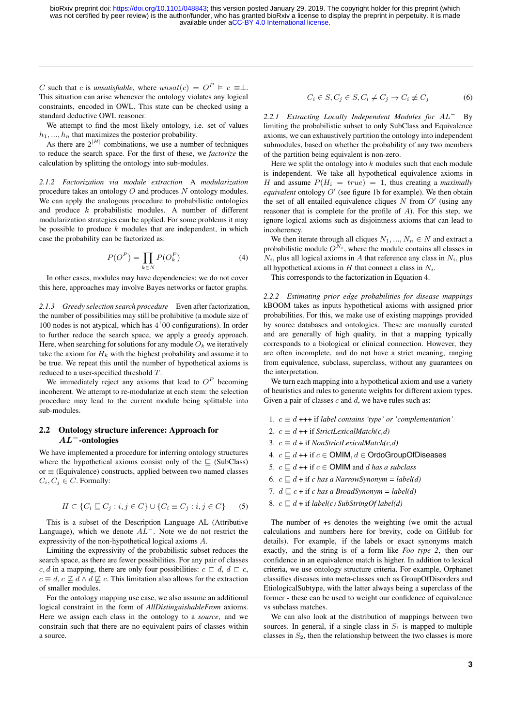C such that c is *unsatisfiable*, where  $unsat(c) = O^P \vDash c \equiv \perp$ . This situation can arise whenever the ontology violates any logical constraints, encoded in OWL. This state can be checked using a standard deductive OWL reasoner.

We attempt to find the most likely ontology, i.e. set of values  $h_1, ..., h_n$  that maximizes the posterior probability.

As there are  $2^{|H|}$  combinations, we use a number of techniques to reduce the search space. For the first of these, we *factorize* the calculation by splitting the ontology into sub-modules.

*2.1.2 Factorization via module extraction* A *modularization* procedure takes an ontology O and produces N ontology modules. We can apply the analogous procedure to probabilistic ontologies and produce  $k$  probabilistic modules. A number of different modularization strategies can be applied. For some problems it may be possible to produce  $k$  modules that are independent, in which case the probability can be factorized as:

$$
P(OP) = \prod_{k \in N} P(OkP)
$$
 (4)

In other cases, modules may have dependencies; we do not cover this here, approaches may involve Bayes networks or factor graphs.

*2.1.3 Greedy selection search procedure* Even after factorization, the number of possibilities may still be prohibitive (a module size of 100 nodes is not atypical, which has  $4^100$  configurations). In order to further reduce the search space, we apply a greedy approach. Here, when searching for solutions for any module  $O_k$  we iteratively take the axiom for  $H_k$  with the highest probability and assume it to be true. We repeat this until the number of hypothetical axioms is reduced to a user-specified threshold T.

We immediately reject any axioms that lead to  $O^P$  becoming incoherent. We attempt to re-modularize at each stem: the selection procedure may lead to the current module being splittable into sub-modules.

## 2.2 Ontology structure inference: Approach for AL<sup>−</sup>-ontologies

We have implemented a procedure for inferring ontology structures where the hypothetical axioms consist only of the  $\Box$  (SubClass)  $or \equiv$  (Equivalence) constructs, applied between two named classes  $C_i, C_j \in C$ . Formally:

$$
H \subset \{C_i \sqsubseteq C_j : i, j \in C\} \cup \{C_i \equiv C_j : i, j \in C\} \tag{5}
$$

This is a subset of the Description Language AL (Attributive Language), which we denote  $AL^-$ . Note we do not restrict the expressivity of the non-hypothetical logical axioms A.

Limiting the expressivity of the probabilistic subset reduces the search space, as there are fewer possibilities. For any pair of classes  $c, d$  in a mapping, there are only four possibilities:  $c \sqsubset d, d \sqsubset c$ ,  $c \equiv d, c \not\sqsubseteq d \wedge d \not\sqsubseteq c$ . This limitation also allows for the extraction of smaller modules.

For the ontology mapping use case, we also assume an additional logical constraint in the form of *AllDistinguishableFrom* axioms. Here we assign each class in the ontology to a *source*, and we constrain such that there are no equivalent pairs of classes within a source.

$$
C_i \in S, C_j \in S, C_i \neq C_j \rightarrow C_i \neq C_j \tag{6}
$$

*2.2.1 Extracting Locally Independent Modules for* AL<sup>−</sup> By limiting the probabilistic subset to only SubClass and Equivalence axioms, we can exhaustively partition the ontology into independent submodules, based on whether the probability of any two members of the partition being equivalent is non-zero.

Here we split the ontology into  $k$  modules such that each module is independent. We take all hypothetical equivalence axioms in H and assume  $P(H_i = true) = 1$ , thus creating a *maximally* equivalent ontology  $O'$  (see figure 1b for example). We then obtain the set of all entailed equivalence cliques  $N$  from  $O'$  (using any reasoner that is complete for the profile of A). For this step, we ignore logical axioms such as disjointness axioms that can lead to incoherency.

We then iterate through all cliques  $N_1, ..., N_n \in N$  and extract a probabilistic module  $O^{N_i}$ , where the module contains all classes in  $N_i$ , plus all logical axioms in A that reference any class in  $N_i$ , plus all hypothetical axioms in H that connect a class in  $N_i$ .

This corresponds to the factorization in Equation 4.

*2.2.2 Estimating prior edge probabilities for disease mappings* kBOOM takes as inputs hypothetical axioms with assigned prior probabilities. For this, we make use of existing mappings provided by source databases and ontologies. These are manually curated and are generally of high quality, in that a mapping typically corresponds to a biological or clinical connection. However, they are often incomplete, and do not have a strict meaning, ranging from equivalence, subclass, superclass, without any guarantees on the interpretation.

We turn each mapping into a hypothetical axiom and use a variety of heuristics and rules to generate weights for different axiom types. Given a pair of classes  $c$  and  $d$ , we have rules such as:

- 1.  $c \equiv d + + +$  if *label contains 'type' or 'complementation'*
- 2.  $c \equiv d$  ++ if *StrictLexicalMatch(c,d)*
- 3.  $c \equiv d + i f$  *NonStrictLexicalMatch(c,d)*
- 4.  $c \sqsubseteq d$  ++ if  $c \in \mathsf{OMIM}, d \in \mathsf{OrdoGroupOfD}$ iseases
- 5.  $c \sqsubseteq d$  ++ if  $c \in \text{OMIM}$  and d has a subclass
- 6.  $c \sqsubset d$  + if *c has a NarrowSynonym = label(d)*
- 7.  $d \sqsubseteq c +$  if *c has a BroadSynonym = label(d)*
- 8.  $c \sqsubseteq d +$  if *label(c)* SubStringOf *label(d)*

The number of +s denotes the weighting (we omit the actual calculations and numbers here for brevity, code on GitHub for details). For example, if the labels or exact synonyms match exactly, and the string is of a form like *Foo type 2*, then our confidence in an equivalence match is higher. In addition to lexical criteria, we use ontology structure criteria. For example, Orphanet classifies diseases into meta-classes such as GroupOfDisorders and EtiologicalSubtype, with the latter always being a superclass of the former - these can be used to weight our confidence of equivalence vs subclass matches.

We can also look at the distribution of mappings between two sources. In general, if a single class in  $S_1$  is mapped to multiple classes in  $S_2$ , then the relationship between the two classes is more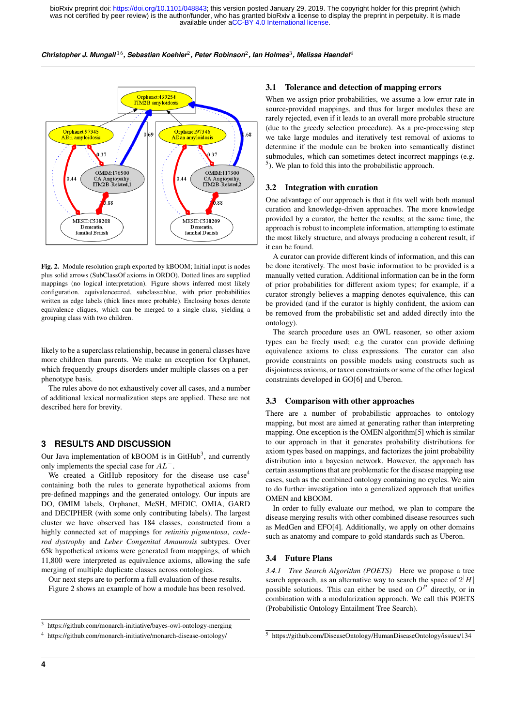



Fig. 2. Module resolution graph exported by kBOOM; Initial input is nodes plus solid arrows (SubClassOf axioms in ORDO). Dotted lines are supplied mappings (no logical interpretation). Figure shows inferred most likely configuration. equivalence=red, subclass=blue, with prior probabilities written as edge labels (thick lines more probable). Enclosing boxes denote equivalence cliques, which can be merged to a single class, yielding a grouping class with two children.

likely to be a superclass relationship, because in general classes have more children than parents. We make an exception for Orphanet, which frequently groups disorders under multiple classes on a perphenotype basis.

The rules above do not exhaustively cover all cases, and a number of additional lexical normalization steps are applied. These are not described here for brevity.

# **3 RESULTS AND DISCUSSION**

Our Java implementation of kBOOM is in GitHub<sup>3</sup>, and currently only implements the special case for AL<sup>−</sup>.

We created a GitHub repository for the disease use case<sup>4</sup> containing both the rules to generate hypothetical axioms from pre-defined mappings and the generated ontology. Our inputs are DO, OMIM labels, Orphanet, MeSH, MEDIC, OMIA, GARD and DECIPHER (with some only contributing labels). The largest cluster we have observed has 184 classes, constructed from a highly connected set of mappings for *retinitis pigmentosa*, *coderod dystrophy* and *Leber Congenital Amaurosis* subtypes. Over 65k hypothetical axioms were generated from mappings, of which 11,800 were interpreted as equivalence axioms, allowing the safe merging of multiple duplicate classes across ontologies.

Our next steps are to perform a full evaluation of these results.

Figure 2 shows an example of how a module has been resolved.

#### <sup>3</sup> https://github.com/monarch-initiative/bayes-owl-ontology-merging

<sup>4</sup> https://github.com/monarch-initiative/monarch-disease-ontology/

## 3.1 Tolerance and detection of mapping errors

When we assign prior probabilities, we assume a low error rate in source-provided mappings, and thus for larger modules these are rarely rejected, even if it leads to an overall more probable structure (due to the greedy selection procedure). As a pre-processing step we take large modules and iteratively test removal of axioms to determine if the module can be broken into semantically distinct submodules, which can sometimes detect incorrect mappings (e.g.  $<sup>5</sup>$ ). We plan to fold this into the probabilistic approach.</sup>

#### 3.2 Integration with curation

One advantage of our approach is that it fits well with both manual curation and knowledge-driven approaches. The more knowledge provided by a curator, the better the results; at the same time, the approach is robust to incomplete information, attempting to estimate the most likely structure, and always producing a coherent result, if it can be found.

A curator can provide different kinds of information, and this can be done iteratively. The most basic information to be provided is a manually vetted curation. Additional information can be in the form of prior probabilities for different axiom types; for example, if a curator strongly believes a mapping denotes equivalence, this can be provided (and if the curator is highly confident, the axiom can be removed from the probabilistic set and added directly into the ontology).

The search procedure uses an OWL reasoner, so other axiom types can be freely used; e.g the curator can provide defining equivalence axioms to class expressions. The curator can also provide constraints on possible models using constructs such as disjointness axioms, or taxon constraints or some of the other logical constraints developed in GO[6] and Uberon.

## 3.3 Comparison with other approaches

There are a number of probabilistic approaches to ontology mapping, but most are aimed at generating rather than interpreting mapping. One exception is the OMEN algorithm[5] which is similar to our approach in that it generates probability distributions for axiom types based on mappings, and factorizes the joint probability distribution into a bayesian network. However, the approach has certain assumptions that are problematic for the disease mapping use cases, such as the combined ontology containing no cycles. We aim to do further investigation into a generalized approach that unifies OMEN and kBOOM.

In order to fully evaluate our method, we plan to compare the disease merging results with other combined disease resources such as MedGen and EFO[4]. Additionally, we apply on other domains such as anatomy and compare to gold standards such as Uberon.

## 3.4 Future Plans

*3.4.1 Tree Search Algorithm (POETS)* Here we propose a tree search approach, as an alternative way to search the space of  $2|H|$ possible solutions. This can either be used on  $O<sup>P</sup>$  directly, or in combination with a modularization approach. We call this POETS (Probabilistic Ontology Entailment Tree Search).

<sup>5</sup> https://github.com/DiseaseOntology/HumanDiseaseOntology/issues/134